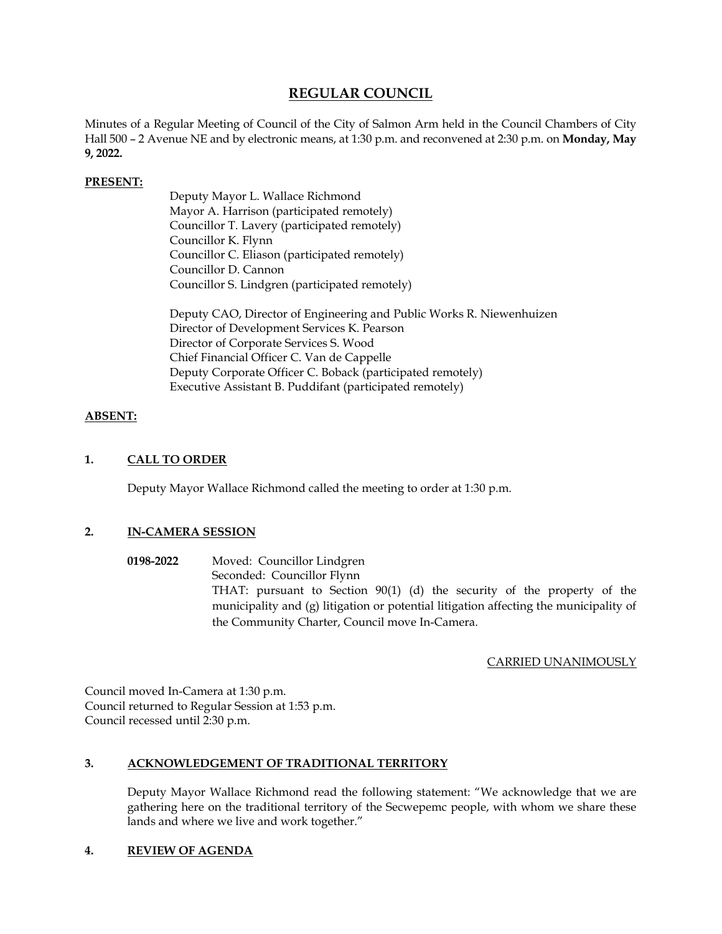# **REGULAR COUNCIL**

Minutes of a Regular Meeting of Council of the City of Salmon Arm held in the Council Chambers of City Hall 500 – 2 Avenue NE and by electronic means, at 1:30 p.m. and reconvened at 2:30 p.m. on **Monday, May 9, 2022.** 

## **PRESENT:**

Deputy Mayor L. Wallace Richmond Mayor A. Harrison (participated remotely) Councillor T. Lavery (participated remotely) Councillor K. Flynn Councillor C. Eliason (participated remotely) Councillor D. Cannon Councillor S. Lindgren (participated remotely)

Deputy CAO, Director of Engineering and Public Works R. Niewenhuizen Director of Development Services K. Pearson Director of Corporate Services S. Wood Chief Financial Officer C. Van de Cappelle Deputy Corporate Officer C. Boback (participated remotely) Executive Assistant B. Puddifant (participated remotely)

### **ABSENT:**

## **1. CALL TO ORDER**

Deputy Mayor Wallace Richmond called the meeting to order at 1:30 p.m.

# **2. IN-CAMERA SESSION**

**0198-2022** Moved: Councillor Lindgren Seconded: Councillor Flynn THAT: pursuant to Section 90(1) (d) the security of the property of the municipality and (g) litigation or potential litigation affecting the municipality of the Community Charter, Council move In-Camera.

### CARRIED UNANIMOUSLY

Council moved In-Camera at 1:30 p.m. Council returned to Regular Session at 1:53 p.m. Council recessed until 2:30 p.m.

### **3. ACKNOWLEDGEMENT OF TRADITIONAL TERRITORY**

Deputy Mayor Wallace Richmond read the following statement: "We acknowledge that we are gathering here on the traditional territory of the Secwepemc people, with whom we share these lands and where we live and work together."

### **4. REVIEW OF AGENDA**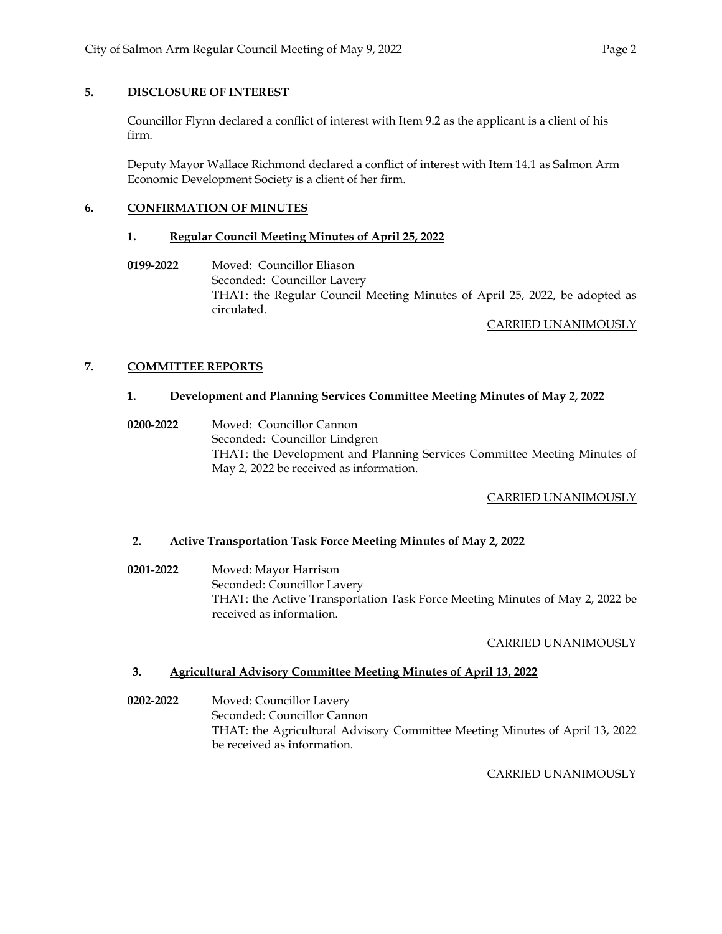# **5. DISCLOSURE OF INTEREST**

Councillor Flynn declared a conflict of interest with Item 9.2 as the applicant is a client of his firm.

Deputy Mayor Wallace Richmond declared a conflict of interest with Item 14.1 as Salmon Arm Economic Development Society is a client of her firm.

# **6. CONFIRMATION OF MINUTES**

# **1. Regular Council Meeting Minutes of April 25, 2022**

**0199-2022** Moved: Councillor Eliason Seconded: Councillor Lavery THAT: the Regular Council Meeting Minutes of April 25, 2022, be adopted as circulated.

# CARRIED UNANIMOUSLY

# **7. COMMITTEE REPORTS**

# **1. Development and Planning Services Committee Meeting Minutes of May 2, 2022**

 **0200-2022** Moved: Councillor Cannon Seconded: Councillor Lindgren THAT: the Development and Planning Services Committee Meeting Minutes of May 2, 2022 be received as information.

# CARRIED UNANIMOUSLY

# **2. Active Transportation Task Force Meeting Minutes of May 2, 2022**

**0201-2022** Moved: Mayor Harrison Seconded: Councillor Lavery THAT: the Active Transportation Task Force Meeting Minutes of May 2, 2022 be received as information.

# CARRIED UNANIMOUSLY

# **3. Agricultural Advisory Committee Meeting Minutes of April 13, 2022**

**0202-2022** Moved: Councillor Lavery Seconded: Councillor Cannon THAT: the Agricultural Advisory Committee Meeting Minutes of April 13, 2022 be received as information.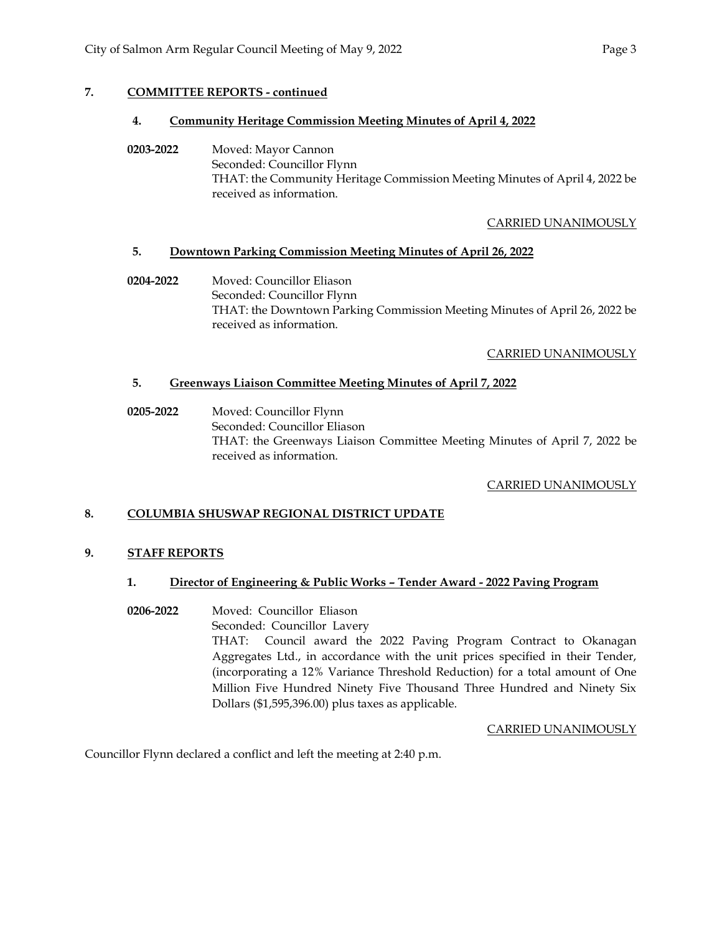# **7. COMMITTEE REPORTS - continued**

## **4. Community Heritage Commission Meeting Minutes of April 4, 2022**

**0203-2022** Moved: Mayor Cannon Seconded: Councillor Flynn THAT: the Community Heritage Commission Meeting Minutes of April 4, 2022 be received as information.

# CARRIED UNANIMOUSLY

## **5. Downtown Parking Commission Meeting Minutes of April 26, 2022**

**0204-2022** Moved: Councillor Eliason Seconded: Councillor Flynn THAT: the Downtown Parking Commission Meeting Minutes of April 26, 2022 be received as information.

## CARRIED UNANIMOUSLY

# **5. Greenways Liaison Committee Meeting Minutes of April 7, 2022**

**0205-2022** Moved: Councillor Flynn Seconded: Councillor Eliason THAT: the Greenways Liaison Committee Meeting Minutes of April 7, 2022 be received as information.

# CARRIED UNANIMOUSLY

# **8. COLUMBIA SHUSWAP REGIONAL DISTRICT UPDATE**

### **9. STAFF REPORTS**

### **1. Director of Engineering & Public Works – Tender Award - 2022 Paving Program**

**0206-2022** Moved: Councillor Eliason Seconded: Councillor Lavery THAT: Council award the 2022 Paving Program Contract to Okanagan Aggregates Ltd., in accordance with the unit prices specified in their Tender, (incorporating a 12% Variance Threshold Reduction) for a total amount of One Million Five Hundred Ninety Five Thousand Three Hundred and Ninety Six Dollars (\$1,595,396.00) plus taxes as applicable.

### CARRIED UNANIMOUSLY

Councillor Flynn declared a conflict and left the meeting at 2:40 p.m.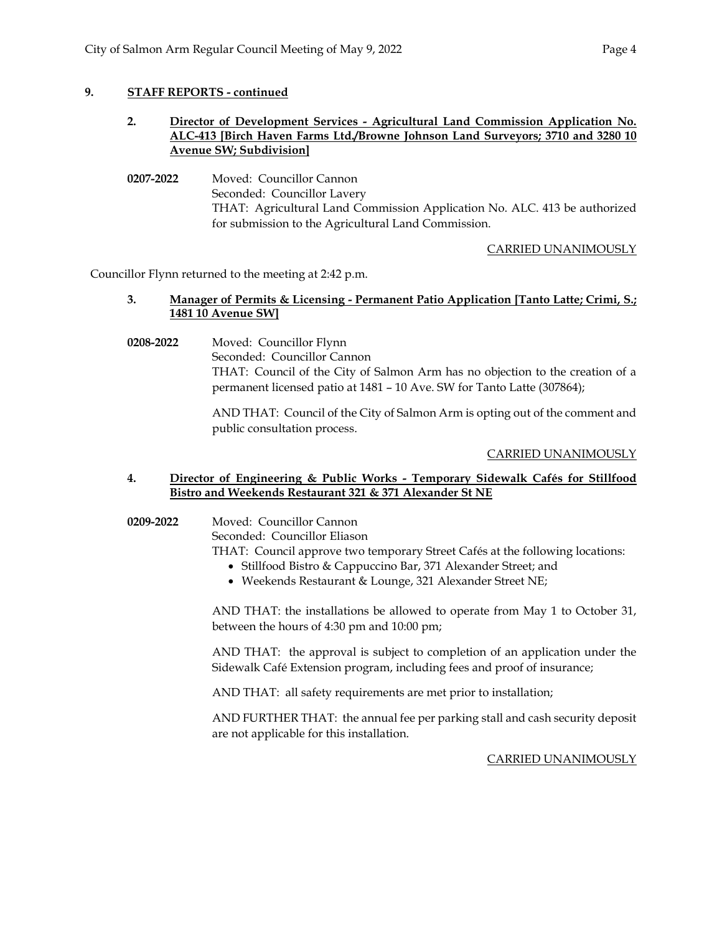## **9. STAFF REPORTS - continued**

## **2. Director of Development Services - Agricultural Land Commission Application No. ALC-413 [Birch Haven Farms Ltd./Browne Johnson Land Surveyors; 3710 and 3280 10 Avenue SW; Subdivision]**

**0207-2022** Moved: Councillor Cannon Seconded: Councillor Lavery THAT: Agricultural Land Commission Application No. ALC. 413 be authorized for submission to the Agricultural Land Commission.

# CARRIED UNANIMOUSLY

Councillor Flynn returned to the meeting at 2:42 p.m.

# **3. Manager of Permits & Licensing - Permanent Patio Application [Tanto Latte; Crimi, S.; 1481 10 Avenue SW]**

**0208-2022** Moved: Councillor Flynn Seconded: Councillor Cannon THAT: Council of the City of Salmon Arm has no objection to the creation of a permanent licensed patio at 1481 – 10 Ave. SW for Tanto Latte (307864);

> AND THAT: Council of the City of Salmon Arm is opting out of the comment and public consultation process.

# CARRIED UNANIMOUSLY

## **4. Director of Engineering & Public Works - Temporary Sidewalk Cafés for Stillfood Bistro and Weekends Restaurant 321 & 371 Alexander St NE**

### **0209-2022** Moved: Councillor Cannon

Seconded: Councillor Eliason

THAT: Council approve two temporary Street Cafés at the following locations:

- Stillfood Bistro & Cappuccino Bar, 371 Alexander Street; and
- Weekends Restaurant & Lounge, 321 Alexander Street NE;

AND THAT: the installations be allowed to operate from May 1 to October 31, between the hours of 4:30 pm and 10:00 pm;

AND THAT: the approval is subject to completion of an application under the Sidewalk Café Extension program, including fees and proof of insurance;

AND THAT: all safety requirements are met prior to installation;

AND FURTHER THAT: the annual fee per parking stall and cash security deposit are not applicable for this installation.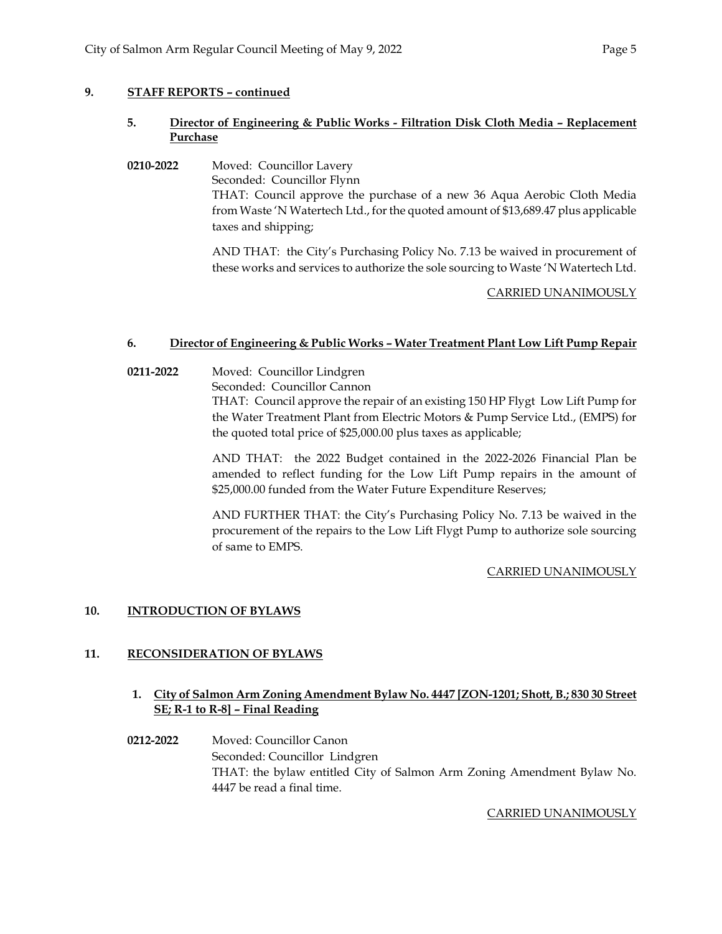# **9. STAFF REPORTS – continued**

# **5. Director of Engineering & Public Works - Filtration Disk Cloth Media – Replacement Purchase**

**0210-2022** Moved: Councillor Lavery Seconded: Councillor Flynn THAT: Council approve the purchase of a new 36 Aqua Aerobic Cloth Media from Waste 'N Watertech Ltd., for the quoted amount of \$13,689.47 plus applicable taxes and shipping;

> AND THAT: the City's Purchasing Policy No. 7.13 be waived in procurement of these works and services to authorize the sole sourcing to Waste 'N Watertech Ltd.

## CARRIED UNANIMOUSLY

## **6. Director of Engineering & Public Works – Water Treatment Plant Low Lift Pump Repair**

**0211-2022** Moved: Councillor Lindgren

Seconded: Councillor Cannon

THAT: Council approve the repair of an existing 150 HP Flygt Low Lift Pump for the Water Treatment Plant from Electric Motors & Pump Service Ltd., (EMPS) for the quoted total price of \$25,000.00 plus taxes as applicable;

AND THAT: the 2022 Budget contained in the 2022-2026 Financial Plan be amended to reflect funding for the Low Lift Pump repairs in the amount of \$25,000.00 funded from the Water Future Expenditure Reserves;

AND FURTHER THAT: the City's Purchasing Policy No. 7.13 be waived in the procurement of the repairs to the Low Lift Flygt Pump to authorize sole sourcing of same to EMPS.

# CARRIED UNANIMOUSLY

# **10. INTRODUCTION OF BYLAWS**

# **11. RECONSIDERATION OF BYLAWS**

# **1. City of Salmon Arm Zoning Amendment Bylaw No. 4447 [ZON-1201; Shott, B.; 830 30 Street SE; R-1 to R-8] – Final Reading**

**0212-2022** Moved: Councillor Canon Seconded: Councillor Lindgren THAT: the bylaw entitled City of Salmon Arm Zoning Amendment Bylaw No. 4447 be read a final time.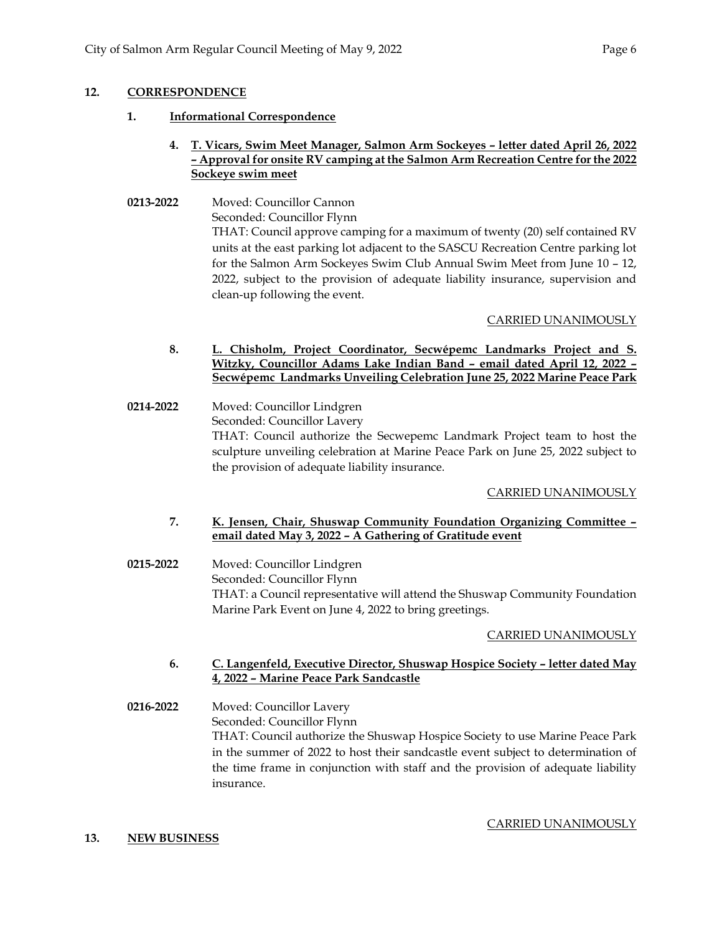# **12. CORRESPONDENCE**

**1. Informational Correspondence** 

# **4. T. Vicars, Swim Meet Manager, Salmon Arm Sockeyes – letter dated April 26, 2022 – Approval for onsite RV camping at the Salmon Arm Recreation Centre for the 2022 Sockeye swim meet**

**0213-2022** Moved: Councillor Cannon Seconded: Councillor Flynn THAT: Council approve camping for a maximum of twenty (20) self contained RV units at the east parking lot adjacent to the SASCU Recreation Centre parking lot for the Salmon Arm Sockeyes Swim Club Annual Swim Meet from June 10 – 12, 2022, subject to the provision of adequate liability insurance, supervision and clean-up following the event.

# CARRIED UNANIMOUSLY

- **8. L. Chisholm, Project Coordinator, Secwépemc Landmarks Project and S. Witzky, Councillor Adams Lake Indian Band – email dated April 12, 2022 – Secwépemc Landmarks Unveiling Celebration June 25, 2022 Marine Peace Park**
- **0214-2022** Moved: Councillor Lindgren Seconded: Councillor Lavery THAT: Council authorize the Secwepemc Landmark Project team to host the sculpture unveiling celebration at Marine Peace Park on June 25, 2022 subject to the provision of adequate liability insurance.

# CARRIED UNANIMOUSLY

## **7. K. Jensen, Chair, Shuswap Community Foundation Organizing Committee – email dated May 3, 2022 – A Gathering of Gratitude event**

**0215-2022** Moved: Councillor Lindgren Seconded: Councillor Flynn THAT: a Council representative will attend the Shuswap Community Foundation Marine Park Event on June 4, 2022 to bring greetings.

# CARRIED UNANIMOUSLY

# **6. C. Langenfeld, Executive Director, Shuswap Hospice Society – letter dated May 4, 2022 – Marine Peace Park Sandcastle**

**0216-2022** Moved: Councillor Lavery Seconded: Councillor Flynn THAT: Council authorize the Shuswap Hospice Society to use Marine Peace Park in the summer of 2022 to host their sandcastle event subject to determination of the time frame in conjunction with staff and the provision of adequate liability insurance.

# **13. NEW BUSINESS**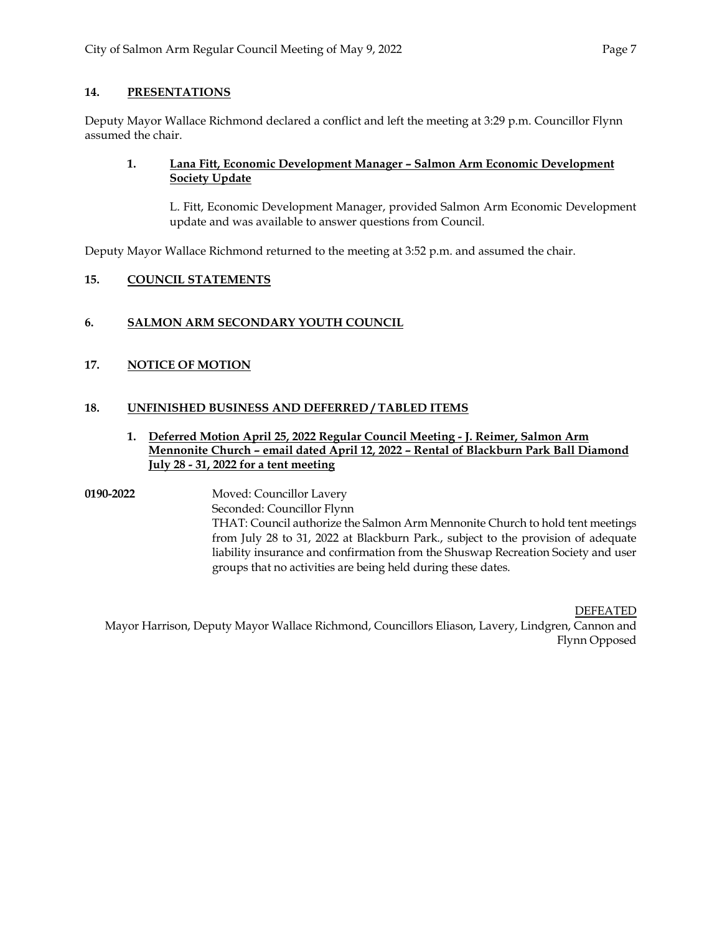# **14. PRESENTATIONS**

Deputy Mayor Wallace Richmond declared a conflict and left the meeting at 3:29 p.m. Councillor Flynn assumed the chair.

# **1. Lana Fitt, Economic Development Manager – Salmon Arm Economic Development Society Update**

L. Fitt, Economic Development Manager, provided Salmon Arm Economic Development update and was available to answer questions from Council.

Deputy Mayor Wallace Richmond returned to the meeting at 3:52 p.m. and assumed the chair.

# **15. COUNCIL STATEMENTS**

# **6. SALMON ARM SECONDARY YOUTH COUNCIL**

# **17. NOTICE OF MOTION**

# **18. UNFINISHED BUSINESS AND DEFERRED / TABLED ITEMS**

# **1. Deferred Motion April 25, 2022 Regular Council Meeting - J. Reimer, Salmon Arm Mennonite Church – email dated April 12, 2022 – Rental of Blackburn Park Ball Diamond July 28 - 31, 2022 for a tent meeting**

**0190-2022** Moved: Councillor Lavery Seconded: Councillor Flynn THAT: Council authorize the Salmon Arm Mennonite Church to hold tent meetings from July 28 to 31, 2022 at Blackburn Park., subject to the provision of adequate liability insurance and confirmation from the Shuswap Recreation Society and user groups that no activities are being held during these dates.

DEFEATED

Mayor Harrison, Deputy Mayor Wallace Richmond, Councillors Eliason, Lavery, Lindgren, Cannon and Flynn Opposed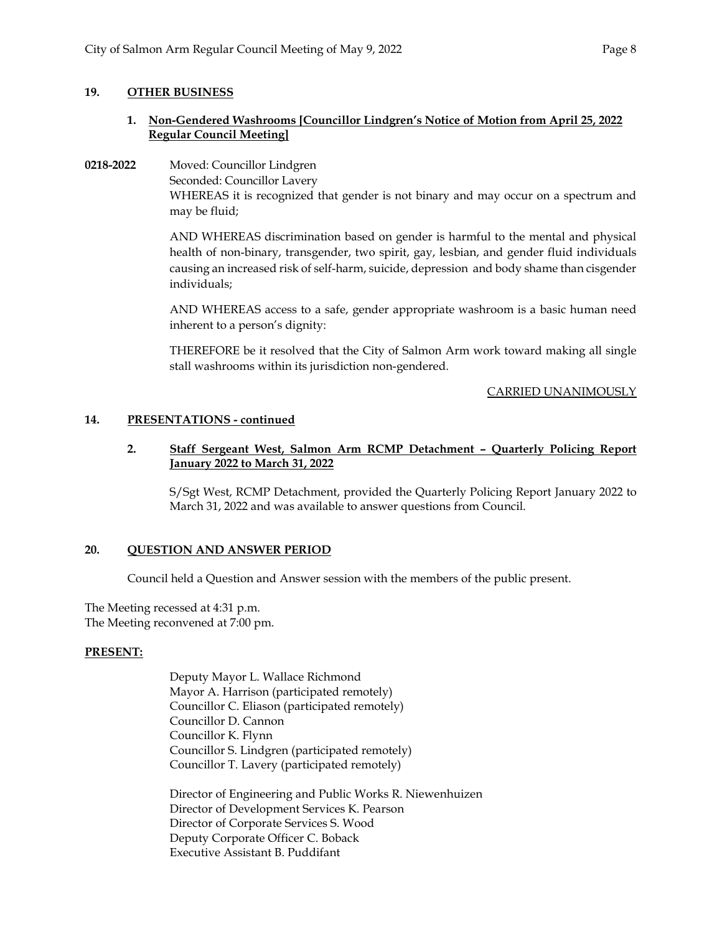## **19. OTHER BUSINESS**

# **1. Non-Gendered Washrooms [Councillor Lindgren's Notice of Motion from April 25, 2022 Regular Council Meeting]**

**0218-2022** Moved: Councillor Lindgren Seconded: Councillor Lavery WHEREAS it is recognized that gender is not binary and may occur on a spectrum and may be fluid;

> AND WHEREAS discrimination based on gender is harmful to the mental and physical health of non-binary, transgender, two spirit, gay, lesbian, and gender fluid individuals causing an increased risk of self-harm, suicide, depression and body shame than cisgender individuals;

> AND WHEREAS access to a safe, gender appropriate washroom is a basic human need inherent to a person's dignity:

> THEREFORE be it resolved that the City of Salmon Arm work toward making all single stall washrooms within its jurisdiction non-gendered.

> > CARRIED UNANIMOUSLY

## **14. PRESENTATIONS - continued**

## **2. Staff Sergeant West, Salmon Arm RCMP Detachment – Quarterly Policing Report January 2022 to March 31, 2022**

S/Sgt West, RCMP Detachment, provided the Quarterly Policing Report January 2022 to March 31, 2022 and was available to answer questions from Council.

# **20. QUESTION AND ANSWER PERIOD**

Council held a Question and Answer session with the members of the public present.

The Meeting recessed at 4:31 p.m. The Meeting reconvened at 7:00 pm.

### **PRESENT:**

Deputy Mayor L. Wallace Richmond Mayor A. Harrison (participated remotely) Councillor C. Eliason (participated remotely) Councillor D. Cannon Councillor K. Flynn Councillor S. Lindgren (participated remotely) Councillor T. Lavery (participated remotely)

Director of Engineering and Public Works R. Niewenhuizen Director of Development Services K. Pearson Director of Corporate Services S. Wood Deputy Corporate Officer C. Boback Executive Assistant B. Puddifant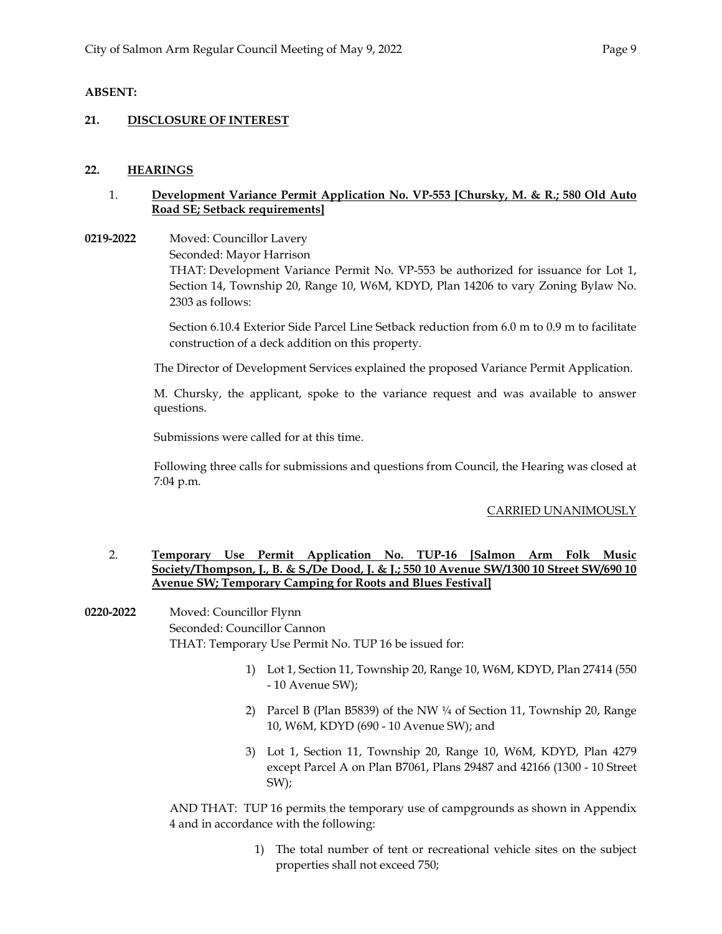## **ABSENT:**

### **21. DISCLOSURE OF INTEREST**

### **22. HEARINGS**

## 1. **Development Variance Permit Application No. VP-553 [Chursky, M. & R.; 580 Old Auto Road SE; Setback requirements]**

**0219-2022** Moved: Councillor Lavery Seconded: Mayor Harrison

> THAT: Development Variance Permit No. VP-553 be authorized for issuance for Lot 1, Section 14, Township 20, Range 10, W6M, KDYD, Plan 14206 to vary Zoning Bylaw No. 2303 as follows:

> Section 6.10.4 Exterior Side Parcel Line Setback reduction from 6.0 m to 0.9 m to facilitate construction of a deck addition on this property.

The Director of Development Services explained the proposed Variance Permit Application.

M. Chursky, the applicant, spoke to the variance request and was available to answer questions.

Submissions were called for at this time.

Following three calls for submissions and questions from Council, the Hearing was closed at 7:04 p.m.

### CARRIED UNANIMOUSLY

## 2. **Temporary Use Permit Application No. TUP-16 [Salmon Arm Folk Music Society/Thompson, J., B. & S./De Dood, J. & J.; 550 10 Avenue SW/1300 10 Street SW/690 10 Avenue SW; Temporary Camping for Roots and Blues Festival]**

**0220-2022** Moved: Councillor Flynn Seconded: Councillor Cannon THAT: Temporary Use Permit No. TUP 16 be issued for:

- 1) Lot 1, Section 11, Township 20, Range 10, W6M, KDYD, Plan 27414 (550 - 10 Avenue SW);
- 2) Parcel B (Plan B5839) of the NW ¼ of Section 11, Township 20, Range 10, W6M, KDYD (690 - 10 Avenue SW); and
- 3) Lot 1, Section 11, Township 20, Range 10, W6M, KDYD, Plan 4279 except Parcel A on Plan B7061, Plans 29487 and 42166 (1300 - 10 Street SW);

AND THAT: TUP 16 permits the temporary use of campgrounds as shown in Appendix 4 and in accordance with the following:

> 1) The total number of tent or recreational vehicle sites on the subject properties shall not exceed 750;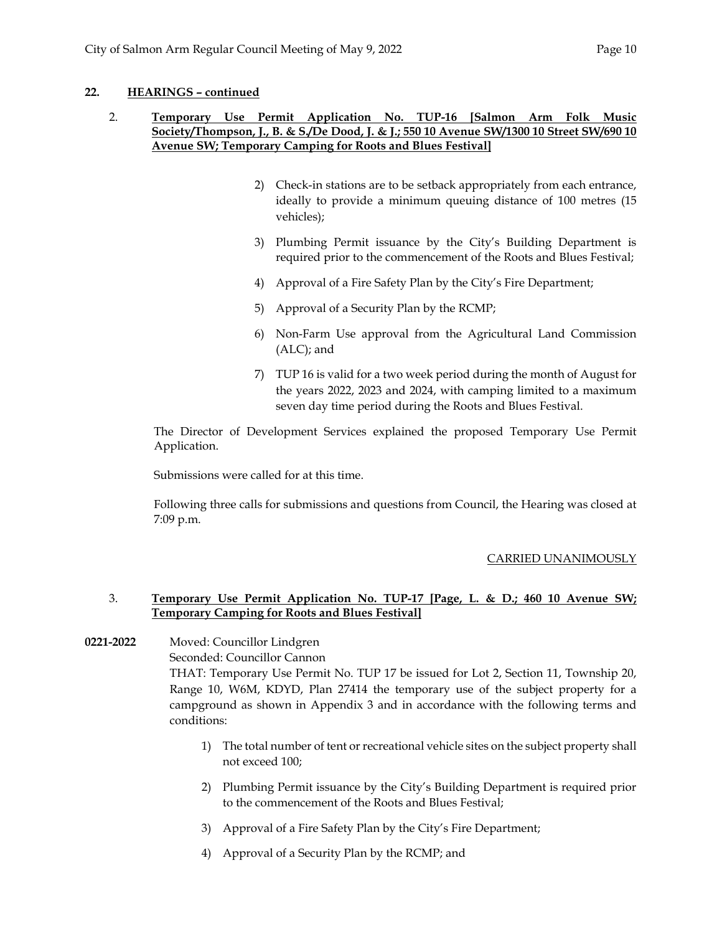## **22. HEARINGS – continued**

# 2. **Temporary Use Permit Application No. TUP-16 [Salmon Arm Folk Music Society/Thompson, J., B. & S./De Dood, J. & J.; 550 10 Avenue SW/1300 10 Street SW/690 10 Avenue SW; Temporary Camping for Roots and Blues Festival]**

- 2) Check-in stations are to be setback appropriately from each entrance, ideally to provide a minimum queuing distance of 100 metres (15 vehicles);
- 3) Plumbing Permit issuance by the City's Building Department is required prior to the commencement of the Roots and Blues Festival;
- 4) Approval of a Fire Safety Plan by the City's Fire Department;
- 5) Approval of a Security Plan by the RCMP;
- 6) Non-Farm Use approval from the Agricultural Land Commission (ALC); and
- 7) TUP 16 is valid for a two week period during the month of August for the years 2022, 2023 and 2024, with camping limited to a maximum seven day time period during the Roots and Blues Festival.

The Director of Development Services explained the proposed Temporary Use Permit Application.

Submissions were called for at this time.

Following three calls for submissions and questions from Council, the Hearing was closed at 7:09 p.m.

# CARRIED UNANIMOUSLY

## 3. **Temporary Use Permit Application No. TUP-17 [Page, L. & D.; 460 10 Avenue SW; Temporary Camping for Roots and Blues Festival]**

# **0221-2022** Moved: Councillor Lindgren

Seconded: Councillor Cannon

THAT: Temporary Use Permit No. TUP 17 be issued for Lot 2, Section 11, Township 20, Range 10, W6M, KDYD, Plan 27414 the temporary use of the subject property for a campground as shown in Appendix 3 and in accordance with the following terms and conditions:

- 1) The total number of tent or recreational vehicle sites on the subject property shall not exceed 100;
- 2) Plumbing Permit issuance by the City's Building Department is required prior to the commencement of the Roots and Blues Festival;
- 3) Approval of a Fire Safety Plan by the City's Fire Department;
- 4) Approval of a Security Plan by the RCMP; and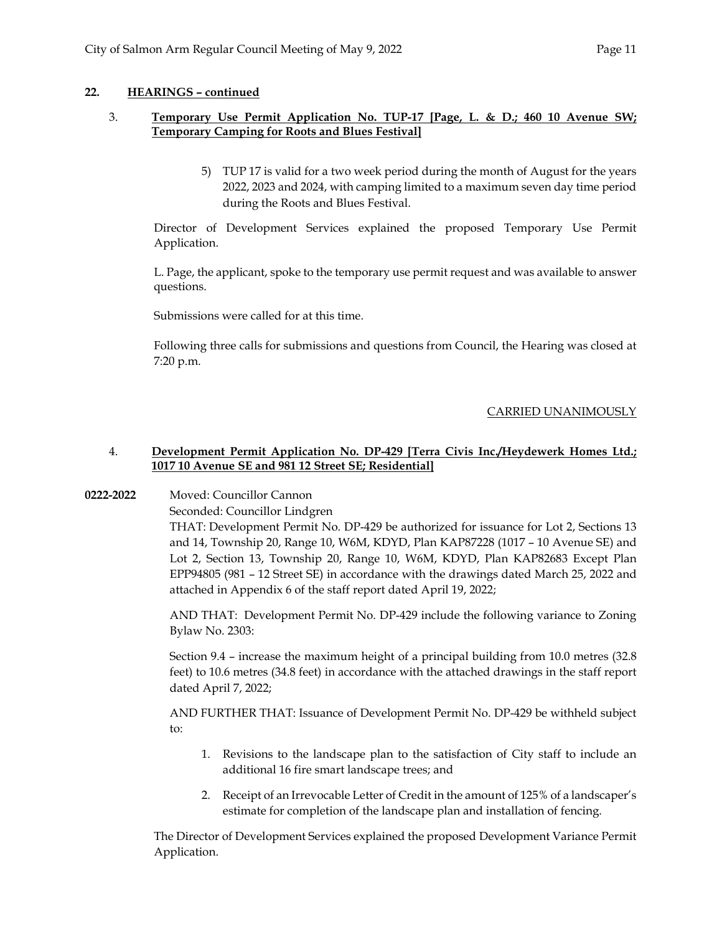## **22. HEARINGS – continued**

## 3. **Temporary Use Permit Application No. TUP-17 [Page, L. & D.; 460 10 Avenue SW; Temporary Camping for Roots and Blues Festival]**

5) TUP 17 is valid for a two week period during the month of August for the years 2022, 2023 and 2024, with camping limited to a maximum seven day time period during the Roots and Blues Festival.

Director of Development Services explained the proposed Temporary Use Permit Application.

L. Page, the applicant, spoke to the temporary use permit request and was available to answer questions.

Submissions were called for at this time.

Following three calls for submissions and questions from Council, the Hearing was closed at 7:20 p.m.

# CARRIED UNANIMOUSLY

## 4. **Development Permit Application No. DP-429 [Terra Civis Inc./Heydewerk Homes Ltd.; 1017 10 Avenue SE and 981 12 Street SE; Residential]**

### **0222-2022** Moved: Councillor Cannon

Seconded: Councillor Lindgren

THAT: Development Permit No. DP-429 be authorized for issuance for Lot 2, Sections 13 and 14, Township 20, Range 10, W6M, KDYD, Plan KAP87228 (1017 – 10 Avenue SE) and Lot 2, Section 13, Township 20, Range 10, W6M, KDYD, Plan KAP82683 Except Plan EPP94805 (981 – 12 Street SE) in accordance with the drawings dated March 25, 2022 and attached in Appendix 6 of the staff report dated April 19, 2022;

AND THAT: Development Permit No. DP-429 include the following variance to Zoning Bylaw No. 2303:

Section 9.4 – increase the maximum height of a principal building from 10.0 metres (32.8 feet) to 10.6 metres (34.8 feet) in accordance with the attached drawings in the staff report dated April 7, 2022;

AND FURTHER THAT: Issuance of Development Permit No. DP-429 be withheld subject to:

- 1. Revisions to the landscape plan to the satisfaction of City staff to include an additional 16 fire smart landscape trees; and
- 2. Receipt of an Irrevocable Letter of Credit in the amount of 125% of a landscaper's estimate for completion of the landscape plan and installation of fencing.

The Director of Development Services explained the proposed Development Variance Permit Application.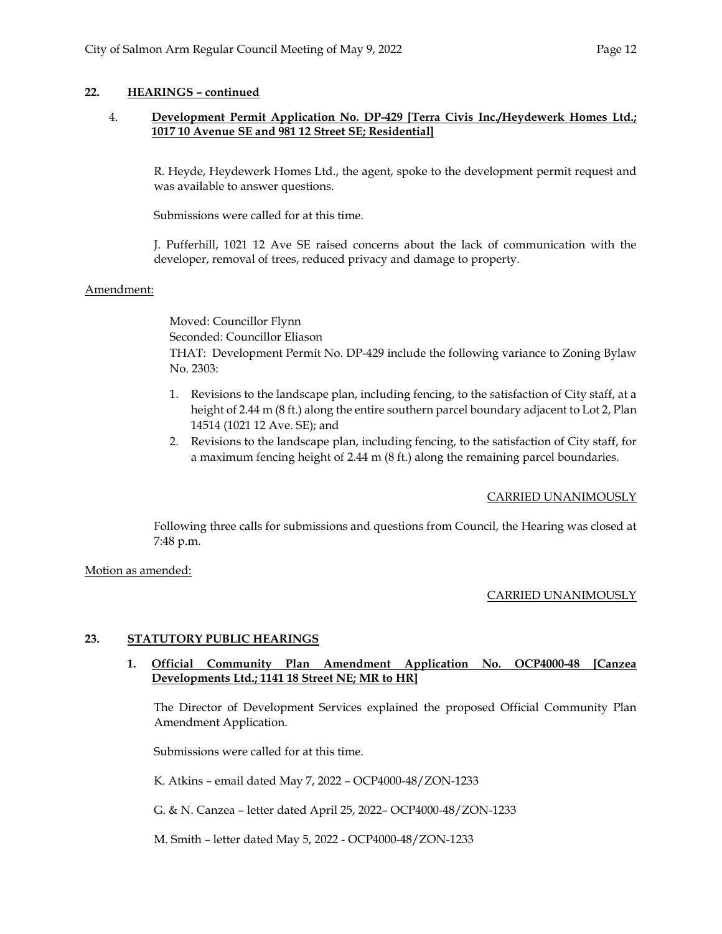# **22. HEARINGS – continued**

## 4. **Development Permit Application No. DP-429 [Terra Civis Inc./Heydewerk Homes Ltd.; 1017 10 Avenue SE and 981 12 Street SE; Residential]**

R. Heyde, Heydewerk Homes Ltd., the agent, spoke to the development permit request and was available to answer questions.

Submissions were called for at this time.

J. Pufferhill, 1021 12 Ave SE raised concerns about the lack of communication with the developer, removal of trees, reduced privacy and damage to property.

### Amendment:

Moved: Councillor Flynn Seconded: Councillor Eliason THAT: Development Permit No. DP-429 include the following variance to Zoning Bylaw No. 2303:

- 1. Revisions to the landscape plan, including fencing, to the satisfaction of City staff, at a height of 2.44 m (8 ft.) along the entire southern parcel boundary adjacent to Lot 2, Plan 14514 (1021 12 Ave. SE); and
- 2. Revisions to the landscape plan, including fencing, to the satisfaction of City staff, for a maximum fencing height of 2.44 m (8 ft.) along the remaining parcel boundaries.

### CARRIED UNANIMOUSLY

Following three calls for submissions and questions from Council, the Hearing was closed at 7:48 p.m.

Motion as amended:

### CARRIED UNANIMOUSLY

### **23. STATUTORY PUBLIC HEARINGS**

## **1. Official Community Plan Amendment Application No. OCP4000-48 [Canzea Developments Ltd.; 1141 18 Street NE; MR to HR]**

The Director of Development Services explained the proposed Official Community Plan Amendment Application.

Submissions were called for at this time.

K. Atkins – email dated May 7, 2022 – OCP4000-48/ZON-1233

G. & N. Canzea – letter dated April 25, 2022– OCP4000-48/ZON-1233

M. Smith – letter dated May 5, 2022 - OCP4000-48/ZON-1233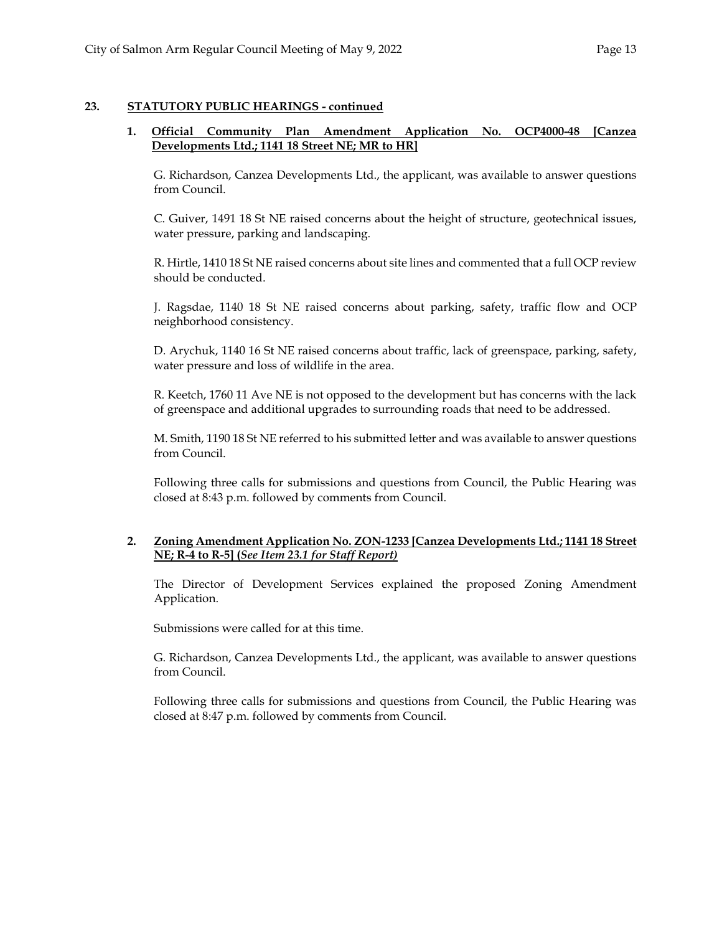## **23. STATUTORY PUBLIC HEARINGS - continued**

## **1. Official Community Plan Amendment Application No. OCP4000-48 [Canzea Developments Ltd.; 1141 18 Street NE; MR to HR]**

G. Richardson, Canzea Developments Ltd., the applicant, was available to answer questions from Council.

C. Guiver, 1491 18 St NE raised concerns about the height of structure, geotechnical issues, water pressure, parking and landscaping.

R. Hirtle, 1410 18 St NE raised concerns about site lines and commented that a full OCP review should be conducted.

J. Ragsdae, 1140 18 St NE raised concerns about parking, safety, traffic flow and OCP neighborhood consistency.

D. Arychuk, 1140 16 St NE raised concerns about traffic, lack of greenspace, parking, safety, water pressure and loss of wildlife in the area.

R. Keetch, 1760 11 Ave NE is not opposed to the development but has concerns with the lack of greenspace and additional upgrades to surrounding roads that need to be addressed.

M. Smith, 1190 18 St NE referred to his submitted letter and was available to answer questions from Council.

Following three calls for submissions and questions from Council, the Public Hearing was closed at 8:43 p.m. followed by comments from Council.

# **2. Zoning Amendment Application No. ZON-1233 [Canzea Developments Ltd.; 1141 18 Street NE; R-4 to R-5] (***See Item 23.1 for Staff Report)*

The Director of Development Services explained the proposed Zoning Amendment Application.

Submissions were called for at this time.

G. Richardson, Canzea Developments Ltd., the applicant, was available to answer questions from Council.

Following three calls for submissions and questions from Council, the Public Hearing was closed at 8:47 p.m. followed by comments from Council.